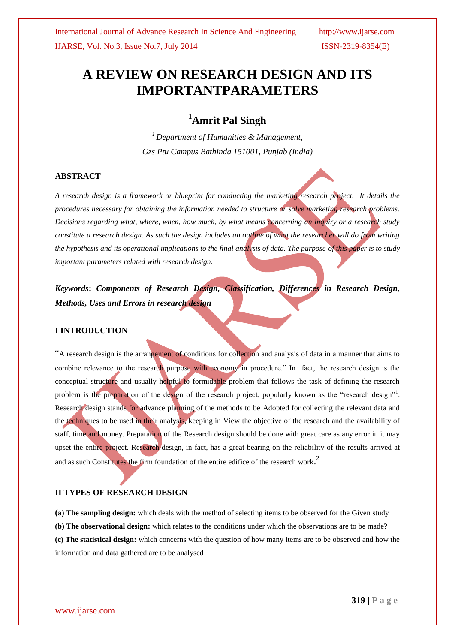# **A REVIEW ON RESEARCH DESIGN AND ITS IMPORTANTPARAMETERS**

## **<sup>1</sup>Amrit Pal Singh**

*<sup>1</sup> Department of Humanities & Management, Gzs Ptu Campus Bathinda 151001, Punjab (India)*

### **ABSTRACT**

*A research design is a framework or blueprint for conducting the marketing research project. It details the procedures necessary for obtaining the information needed to structure or solve marketing research problems. Decisions regarding what, where, when, how much, by what means concerning an inquiry or a research study constitute a research design. As such the design includes an outline of what the researcher will do from writing the hypothesis and its operational implications to the final analysis of data. The purpose of this paper is to study important parameters related with research design.*

*Keywords***:** *Components of Research Design, Classification, Differences in Research Design, Methods, Uses and Errors in research design*

#### **I INTRODUCTION**

"A research design is the arrangement of conditions for collection and analysis of data in a manner that aims to combine relevance to the research purpose with economy in procedure." In fact, the research design is the conceptual structure and usually helpful to formidable problem that follows the task of defining the research problem is the preparation of the design of the research project, popularly known as the "research design"<sup>1</sup>. Research design stands for advance planning of the methods to be Adopted for collecting the relevant data and the techniques to be used in their analysis, keeping in View the objective of the research and the availability of staff, time and money. Preparation of the Research design should be done with great care as any error in it may upset the entire project. Research design, in fact, has a great bearing on the reliability of the results arrived at and as such Constitutes the firm foundation of the entire edifice of the research work. 2

## **II TYPES OF RESEARCH DESIGN**

**(a) The sampling design:** which deals with the method of selecting items to be observed for the Given study **(b) The observational design:** which relates to the conditions under which the observations are to be made? **(c) The statistical design:** which concerns with the question of how many items are to be observed and how the information and data gathered are to be analysed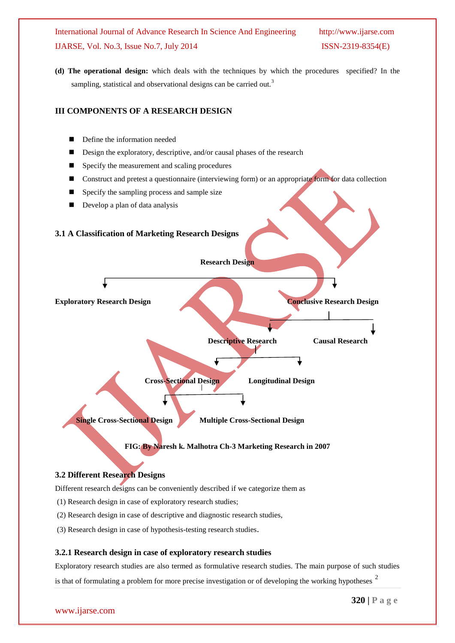**(d) The operational design:** which deals with the techniques by which the procedures specified? In the sampling, statistical and observational designs can be carried out.<sup>3</sup>

#### **III COMPONENTS OF A RESEARCH DESIGN**

- Define the information needed
- Design the exploratory, descriptive, and/or causal phases of the research
- Specify the measurement and scaling procedures
- Construct and pretest a questionnaire (interviewing form) or an appropriate form for data collection
- $\blacksquare$  Specify the sampling process and sample size
- Develop a plan of data analysis

#### **3.1 A Classification of Marketing Research Designs**



#### **3.2 Different Research Designs**

Different research designs can be conveniently described if we categorize them as

- (1) Research design in case of exploratory research studies;
- (2) Research design in case of descriptive and diagnostic research studies,
- (3) Research design in case of hypothesis-testing research studies.

#### **3.2.1 Research design in case of exploratory research studies**

Exploratory research studies are also termed as formulative research studies. The main purpose of such studies is that of formulating a problem for more precise investigation or of developing the working hypotheses  $2$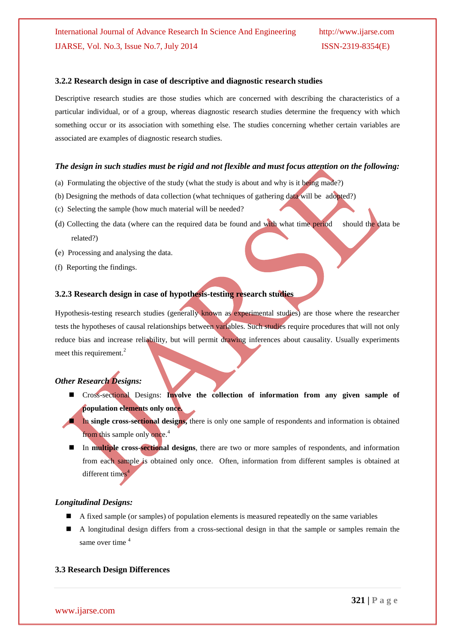#### **3.2.2 Research design in case of descriptive and diagnostic research studies**

Descriptive research studies are those studies which are concerned with describing the characteristics of a particular individual, or of a group, whereas diagnostic research studies determine the frequency with which something occur or its association with something else. The studies concerning whether certain variables are associated are examples of diagnostic research studies.

#### *The design in such studies must be rigid and not flexible and must focus attention on the following:*

- (a) Formulating the objective of the study (what the study is about and why is it being made?)
- (b) Designing the methods of data collection (what techniques of gathering data will be adopted?)
- (c) Selecting the sample (how much material will be needed?
- (d) Collecting the data (where can the required data be found and with what time period should the data be related?)
- (e) Processing and analysing the data.
- (f) Reporting the findings.

#### **3.2.3 Research design in case of hypothesis-testing research studies**

Hypothesis-testing research studies (generally known as experimental studies) are those where the researcher tests the hypotheses of causal relationships between variables. Such studies require procedures that will not only reduce bias and increase reliability, but will permit drawing inferences about causality. Usually experiments meet this requirement.<sup>2</sup>

#### *Other Research Designs:*

- Cross-sectional Designs: **Involve the collection of information from any given sample of population elements only once.**
- **In single cross-sectional designs,** there is only one sample of respondents and information is obtained from this sample only once.<sup>4</sup>
- In **multiple cross-sectional designs**, there are two or more samples of respondents, and information from each sample is obtained only once. Often, information from different samples is obtained at  $d$ ifferent times $4$

#### *Longitudinal Designs:*

- A fixed sample (or samples) of population elements is measured repeatedly on the same variables
- A longitudinal design differs from a cross-sectional design in that the sample or samples remain the same over time <sup>4</sup>

#### **3.3 Research Design Differences**

www.ijarse.com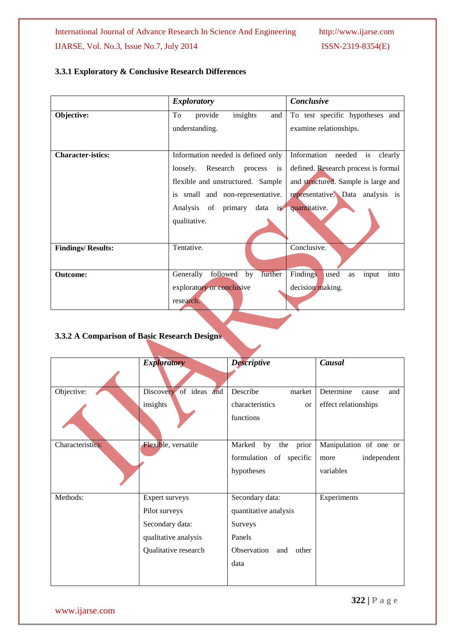## **3.3.1 Exploratory & Conclusive Research Differences**

|                          | <b>Exploratory</b>                          | Conclusive                              |  |
|--------------------------|---------------------------------------------|-----------------------------------------|--|
| Objective:               | insights<br>To<br>provide<br>and            | To test specific hypotheses and         |  |
|                          | understanding.                              | examine relationships.                  |  |
|                          |                                             |                                         |  |
| <b>Character-istics:</b> | Information needed is defined only          | Information<br>needed is<br>clearly     |  |
|                          | loosely. Research process<br>$\overline{1}$ | defined. Research process is formal     |  |
|                          | flexible and unstructured. Sample           | and structured. Sample is large and     |  |
|                          | is small and non-representative.            | representative. Data analysis is        |  |
|                          | Analysis of primary data is                 | quantitative.                           |  |
|                          | qualitative.                                |                                         |  |
|                          |                                             |                                         |  |
| <b>Findings/Results:</b> | Tentative.                                  | Conclusive.                             |  |
|                          |                                             |                                         |  |
| <b>Outcome:</b>          | further<br>Generally<br>followed<br>by      | Findings<br>used<br>input<br>into<br>as |  |
|                          | exploratory or conclusive                   | decision making.                        |  |
|                          | research.                                   |                                         |  |

## **3.3.2 A Comparison of Basic Research Designs**

|                  | <b>Exploratory</b>        | <b>Descriptive</b>        | Causal                    |
|------------------|---------------------------|---------------------------|---------------------------|
|                  |                           |                           |                           |
| Objective:       | of ideas and<br>Discovery | Describe<br>market        | Determine<br>and<br>cause |
|                  | insights                  | characteristics<br>or     | effect relationships      |
|                  |                           | functions                 |                           |
| Characteristics: | Flexible, versatile       | Marked<br>the prior<br>by | Manipulation of one or    |
|                  |                           | formulation of specific   | independent<br>more       |
|                  |                           | hypotheses                | variables                 |
| Methods:         | Expert surveys            | Secondary data:           | Experiments               |
|                  | Pilot surveys             | quantitative analysis     |                           |
|                  | Secondary data:           | Surveys                   |                           |
|                  | qualitative analysis      | Panels                    |                           |
|                  | Qualitative research      | Observation<br>and other  |                           |
|                  |                           | data                      |                           |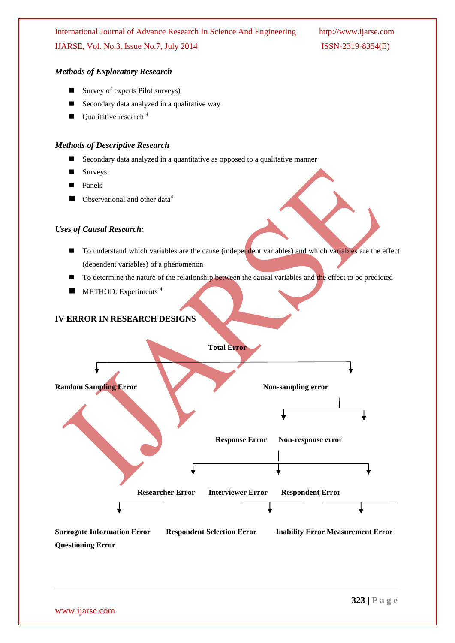#### *Methods of Exploratory Research*

- Survey of experts Pilot surveys)
- Secondary data analyzed in a qualitative way
- Qualitative research<sup>4</sup>

#### *Methods of Descriptive Research*

- Secondary data analyzed in a quantitative as opposed to a qualitative manner
- Surveys
- Panels
- Observational and other data<sup>4</sup>

#### *Uses of Causal Research:*

- To understand which variables are the cause (independent variables) and which variables are the effect (dependent variables) of a phenomenon
- To determine the nature of the relationship between the causal variables and the effect to be predicted
- METHOD: Experiments<sup>4</sup>

#### **IV ERROR IN RESEARCH DESIGNS**



**Questioning Error**